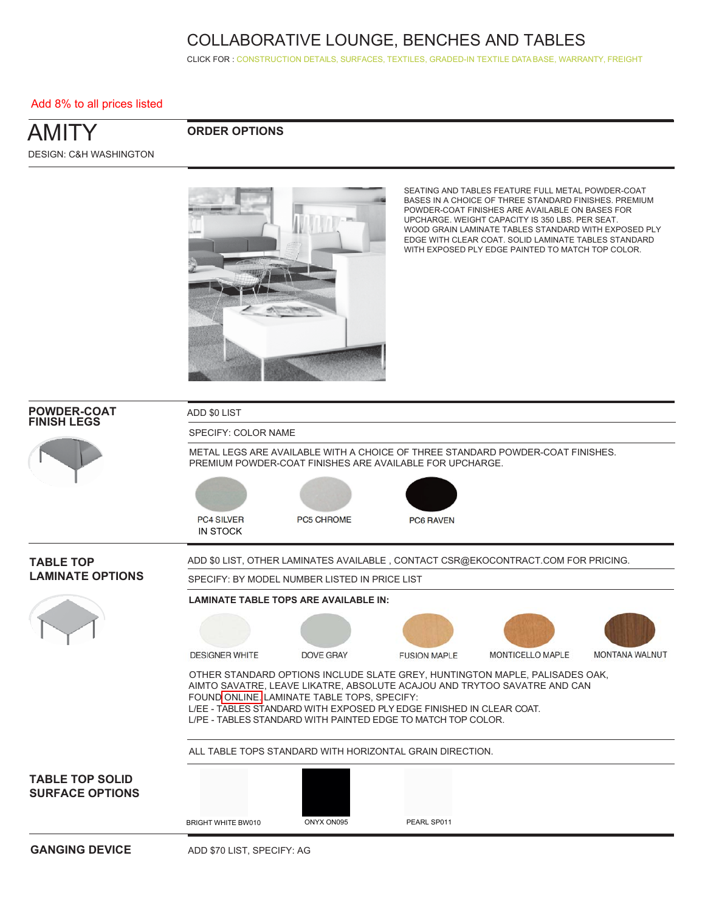CLICK FOR [: CONSTRUCTION DETAILS,](http://www.ekocontract.com/collaborative-seating/amity-collaborative) [SURFACES,](http://www.ekocontract.com/surfaces) [TEXTILES,](http://www.ekocontract.com/fabrics) [GRADED-IN TEXTILE DATA BASE,](http://www.ekocontract.com/resources/surface-materials/surface-materials-database) [WARRANTY, FREIGHT](http://www.ekocontract.com/files/resources/2015_EKO_Terms__Conditions.pdf)

#### Add 8% to all prices listed

### AMITY DESIGN: C&H WASHINGTON

### **ORDER OPTIONS**



SEATING AND TABLES FEATURE FULL METAL POWDER-COAT BASES IN A CHOICE OF THREE STANDARD FINISHES. PREMIUM POWDER-COAT FINISHES ARE AVAILABLE ON BASES FOR UPCHARGE. WEIGHT CAPACITY IS 350 LBS. PER SEAT. WOOD GRAIN LAMINATE TABLES STANDARD WITH EXPOSED PLY EDGE WITH CLEAR COAT. SOLID LAMINATE TABLES STANDARD WITH EXPOSED PLY EDGE PAINTED TO MATCH TOP COLOR.

| <b>POWDER-COAT</b><br><b>FINISH LEGS</b>         | ADD \$0 LIST                         |                                                                                                                                                                                     |                     |                                                                                                                                                         |                |
|--------------------------------------------------|--------------------------------------|-------------------------------------------------------------------------------------------------------------------------------------------------------------------------------------|---------------------|---------------------------------------------------------------------------------------------------------------------------------------------------------|----------------|
|                                                  | SPECIFY: COLOR NAME                  |                                                                                                                                                                                     |                     |                                                                                                                                                         |                |
|                                                  |                                      | PREMIUM POWDER-COAT FINISHES ARE AVAILABLE FOR UPCHARGE.                                                                                                                            |                     | METAL LEGS ARE AVAILABLE WITH A CHOICE OF THREE STANDARD POWDER-COAT FINISHES.                                                                          |                |
|                                                  | <b>PC4 SILVER</b><br><b>IN STOCK</b> | <b>PC5 CHROME</b>                                                                                                                                                                   | <b>PC6 RAVEN</b>    |                                                                                                                                                         |                |
| <b>TABLE TOP</b>                                 |                                      |                                                                                                                                                                                     |                     | ADD \$0 LIST, OTHER LAMINATES AVAILABLE, CONTACT CSR@EKOCONTRACT.COM FOR PRICING.                                                                       |                |
| <b>LAMINATE OPTIONS</b>                          |                                      | SPECIFY: BY MODEL NUMBER LISTED IN PRICE LIST                                                                                                                                       |                     |                                                                                                                                                         |                |
|                                                  |                                      | <b>LAMINATE TABLE TOPS ARE AVAILABLE IN:</b>                                                                                                                                        |                     |                                                                                                                                                         |                |
|                                                  |                                      |                                                                                                                                                                                     |                     |                                                                                                                                                         |                |
|                                                  | <b>DESIGNER WHITE</b>                | DOVE GRAY                                                                                                                                                                           | <b>FUSION MAPLE</b> | MONTICELLO MAPLE                                                                                                                                        | MONTANA WALNUT |
|                                                  |                                      | FOUND ONLINE. LAMINATE TABLE TOPS, SPECIFY:<br>L/EE - TABLES STANDARD WITH EXPOSED PLY EDGE FINISHED IN CLEAR COAT.<br>L/PE - TABLES STANDARD WITH PAINTED EDGE TO MATCH TOP COLOR. |                     | OTHER STANDARD OPTIONS INCLUDE SLATE GREY, HUNTINGTON MAPLE, PALISADES OAK,<br>AIMTO SAVATRE, LEAVE LIKATRE, ABSOLUTE ACAJOU AND TRYTOO SAVATRE AND CAN |                |
|                                                  |                                      | ALL TABLE TOPS STANDARD WITH HORIZONTAL GRAIN DIRECTION.                                                                                                                            |                     |                                                                                                                                                         |                |
| <b>TABLE TOP SOLID</b><br><b>SURFACE OPTIONS</b> |                                      |                                                                                                                                                                                     |                     |                                                                                                                                                         |                |
|                                                  | <b>BRIGHT WHITE BW010</b>            | ONYX ON095                                                                                                                                                                          | PEARL SP011         |                                                                                                                                                         |                |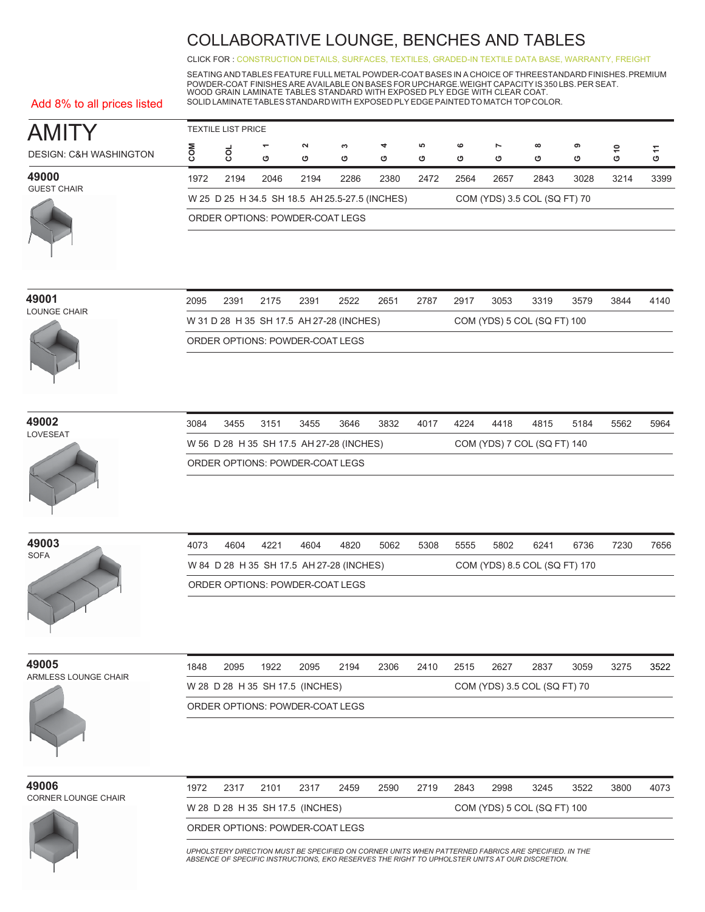CLICK FOR [: CONSTRUCTION DETAILS,](http://www.ekocontract.com/collaborative-seating/amity-collaborative) [SURFACES,](http://www.ekocontract.com/surfaces) [TEXTILES,](http://www.ekocontract.com/fabrics) [GRADED-IN TEXTILE DATA BASE,](http://www.ekocontract.com/resources/surface-materials/surface-materials-database) [WARRANTY, FREIGHT](http://www.ekocontract.com/files/resources/2015_EKO_Terms__Conditions.pdf)

SEATING ANDTABLES FEATURE FULL METAL POWDER-COAT BASES IN A CHOICE OF THREESTANDARD FINISHES.PREMIUM POWDER-COAT FINISHES ARE AVAILABLE ON BASES FOR UPCHARGE.WEIGHT CAPACITY IS 350 LBS. PER SEAT.<br>WOOD GRAIN LAMINATE TABLES STANDARD WITH EXPOSED PLY EDGE WITH CLEAR COAT. SOLID LAMINATETABLESSTANDARDWITH EXPOSED PLY EDGE PAINTEDTO MATCH TOP COLOR.

#### Add 8% to all prices listed

| <b>AMITY</b>                      | <b>TEXTILE LIST PRICE</b> |      |                               |                                                |        |        |        |              |        |                              |        |        |        |  |
|-----------------------------------|---------------------------|------|-------------------------------|------------------------------------------------|--------|--------|--------|--------------|--------|------------------------------|--------|--------|--------|--|
| <b>DESIGN: C&amp;H WASHINGTON</b> | MCC                       |      | $\overline{\phantom{0}}$<br>O | $\sim$<br>ט                                    | ຕ<br>Ο | 4<br>ט | ယ<br>O | $\circ$<br>Ο | Ľ<br>ပ | $\infty$<br>ပ                | െ<br>ט | ≘<br>ט | Ξ<br>O |  |
| 49000<br><b>GUEST CHAIR</b>       | 1972                      | 2194 | 2046                          | 2194                                           | 2286   | 2380   | 2472   | 2564         | 2657   | 2843                         | 3028   | 3214   | 3399   |  |
|                                   |                           |      |                               | W 25 D 25 H 34.5 SH 18.5 AH 25.5-27.5 (INCHES) |        |        |        |              |        | COM (YDS) 3.5 COL (SQ FT) 70 |        |        |        |  |
|                                   |                           |      |                               | ORDER OPTIONS: POWDER-COAT LEGS                |        |        |        |              |        |                              |        |        |        |  |

| 49001        |  |
|--------------|--|
| LOUNGE CHAIR |  |



| 2095 | 2391                                     | 2175 | 2391 | 2522 | 2651 | 2787 | 2917 | 3053 | 3319                        | 3579 | 3844 | 4140 |
|------|------------------------------------------|------|------|------|------|------|------|------|-----------------------------|------|------|------|
|      | W 31 D 28 H 35 SH 17.5 AH 27-28 (INCHES) |      |      |      |      |      |      |      | COM (YDS) 5 COL (SQ FT) 100 |      |      |      |
|      | ORDER OPTIONS: POWDER-COAT LEGS          |      |      |      |      |      |      |      |                             |      |      |      |

**49002**



| 3084 | 3455 | 3151 | 3455 | 3646                                     | 3832 | 4017 | 4224 | 4418 | 4815                        | 5184 | 5562 | 5964 |
|------|------|------|------|------------------------------------------|------|------|------|------|-----------------------------|------|------|------|
|      |      |      |      | W 56 D 28 H 35 SH 17.5 AH 27-28 (INCHES) |      |      |      |      | COM (YDS) 7 COL (SQ FT) 140 |      |      |      |
|      |      |      |      | ORDER OPTIONS: POWDER-COAT LEGS          |      |      |      |      |                             |      |      |      |

| 49003       |  |
|-------------|--|
| <b>SOFA</b> |  |
|             |  |

| 4073 | 4604                                     | 4221 | 4604 | 4820 | 5062 | 5308 | 5555 | 5802 | 6241                          | 6736 | 7230 | 7656 |
|------|------------------------------------------|------|------|------|------|------|------|------|-------------------------------|------|------|------|
|      | W 84 D 28 H 35 SH 17.5 AH 27-28 (INCHES) |      |      |      |      |      |      |      | COM (YDS) 8.5 COL (SQ FT) 170 |      |      |      |
|      | ORDER OPTIONS: POWDER-COAT LEGS          |      |      |      |      |      |      |      |                               |      |      |      |

**49005** ARMLESS LOUNGE CHAIR

| 1848 | 2095                            | 1922 | 2095 | 2194 | 2306 | 2410 | - 2515 | 2627 | 2837                         | 3059 | 3275 | 3522 |
|------|---------------------------------|------|------|------|------|------|--------|------|------------------------------|------|------|------|
|      | W 28 D 28 H 35 SH 17.5 (INCHES) |      |      |      |      |      |        |      | COM (YDS) 3.5 COL (SQ FT) 70 |      |      |      |
|      | ORDER OPTIONS: POWDER-COAT LEGS |      |      |      |      |      |        |      |                              |      |      |      |



| 49006                      | 1972 | 2317 | 2101 | 2317                            | 2459 | 2590 | 2719 | 2843 | 2998 | 3245                        | 3522 | 3800 | 4073 |
|----------------------------|------|------|------|---------------------------------|------|------|------|------|------|-----------------------------|------|------|------|
| <b>CORNER LOUNGE CHAIR</b> |      |      |      | W 28 D 28 H 35 SH 17.5 (INCHES) |      |      |      |      |      | COM (YDS) 5 COL (SQ FT) 100 |      |      |      |
|                            |      |      |      | ORDER OPTIONS: POWDER-COAT LEGS |      |      |      |      |      |                             |      |      |      |

*UPHOLSTERY DIRECTION MUST BE SPECIFIED ON CORNER UNITS WHEN PATTERNED FABRICS ARE SPECIFIED. IN THE ABSENCE OF SPECIFIC INSTRUCTIONS, EKO RESERVES THE RIGHT TO UPHOLSTER UNITS AT OUR DISCRETION.*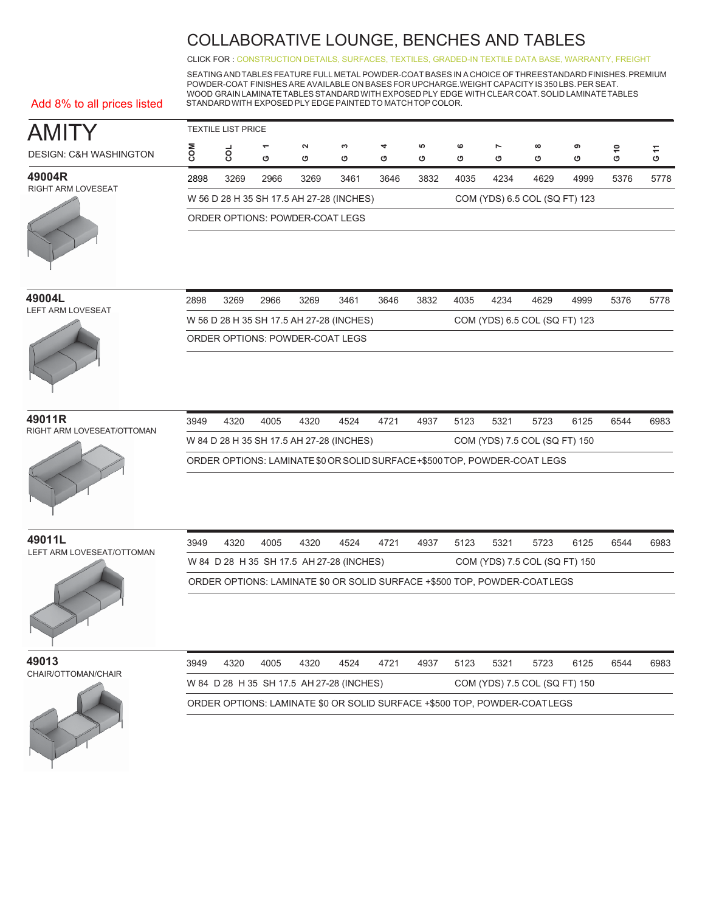CLICK FOR [: CONSTRUCTION DETAILS,](http://www.ekocontract.com/collaborative-seating/amity-collaborative) [SURFACES,](http://www.ekocontract.com/surfaces) [TEXTILES,](http://www.ekocontract.com/fabrics) [GRADED-IN TEXTILE DATA BASE,](http://www.ekocontract.com/resources/surface-materials/surface-materials-database) [WARRANTY, FREIGHT](http://www.ekocontract.com/files/resources/2015_EKO_Terms__Conditions.pdf)

SEATING ANDTABLES FEATURE FULL METAL POWDER-COAT BASES IN A CHOICE OF THREESTANDARD FINISHES.PREMIUM POWDER-COAT FINISHES ARE AVAILABLE ON BASES FOR UPCHARGE.WEIGHT CAPACITY IS 350 LBS.PER SEAT. WOOD GRAIN LAMINATETABLESSTANDARDWITH EXPOSED PLY EDGE WITH CLEAR COAT.SOLID LAMINATETABLES STANDARDWITH EXPOSED PLY EDGE PAINTEDTO MATCHTOP COLOR.

Add 8% to all prices listed

| AMI                               | TEXTILE LIST PRICE |      |                               |                                          |        |        |        |              |                     |                               |        |        |        |
|-----------------------------------|--------------------|------|-------------------------------|------------------------------------------|--------|--------|--------|--------------|---------------------|-------------------------------|--------|--------|--------|
| <b>DESIGN: C&amp;H WASHINGTON</b> |                    | ខ្លី | $\overline{\phantom{0}}$<br>ပ | $\sim$<br>O                              | ∾<br>O | 4<br>ט | ယ<br>ט | $\circ$<br>ט | $\overline{ }$<br>ט | $\infty$<br>ט                 | െ<br>ט | ₽<br>ပ | Ξ<br>ပ |
| 49004R                            | 2898               | 3269 | 2966                          | 3269                                     | 3461   | 3646   | 3832   | 4035         | 4234                | 4629                          | 4999   | 5376   | 5778   |
| <b>RIGHT ARM LOVESEAT</b>         |                    |      |                               | W 56 D 28 H 35 SH 17.5 AH 27-28 (INCHES) |        |        |        |              |                     | COM (YDS) 6.5 COL (SQ FT) 123 |        |        |        |
|                                   |                    |      |                               | ORDER OPTIONS: POWDER-COAT LEGS          |        |        |        |              |                     |                               |        |        |        |

| 49004L            | 2898 | 3269                | 296 |
|-------------------|------|---------------------|-----|
| LEFT ARM LOVESEAT |      | W 56 D 28 H 35 SH 1 |     |



| 2898 | 3269 | 2966 | 3269                                     | 3461 | 3646 | 3832 | 4035 | 4234 | 4629                          | 4999 | 5376 | 5778 |
|------|------|------|------------------------------------------|------|------|------|------|------|-------------------------------|------|------|------|
|      |      |      | W 56 D 28 H 35 SH 17.5 AH 27-28 (INCHES) |      |      |      |      |      | COM (YDS) 6.5 COL (SQ FT) 123 |      |      |      |
|      |      |      | ORDER OPTIONS: POWDER-COAT LEGS          |      |      |      |      |      |                               |      |      |      |
|      |      |      |                                          |      |      |      |      |      |                               |      |      |      |

# RIGHT ARM LOVESEAT/OTTOMAN



| 49011R<br>RIGHT ARM LOVESEAT/OTTOMAN | 3949 | 4320 | 4005 | 4320 | 4524                                     | 4721 | 4937 | 5123 | 5321 | 5723                                                                       | 6125 | 6544 | 6983 |
|--------------------------------------|------|------|------|------|------------------------------------------|------|------|------|------|----------------------------------------------------------------------------|------|------|------|
|                                      |      |      |      |      | W 84 D 28 H 35 SH 17.5 AH 27-28 (INCHES) |      |      |      |      | COM (YDS) 7.5 COL (SQ FT) 150                                              |      |      |      |
|                                      |      |      |      |      |                                          |      |      |      |      | ORDER OPTIONS: LAMINATE \$0 OR SOLID SURFACE + \$500 TOP, POWDER-COAT LEGS |      |      |      |

**49011L** LEFT ARM LOVESEAT/OTTOMAN



W 84 D 28 H 35 SH 17.5 AH 27-28 (INCHES) COM (YDS) 7.5 COL (SQ FT) 150 ORDER OPTIONS: LAMINATE \$0 OR SOLID SURFACE +\$500 TOP, POWDER-COATLEGS 3949 4320 4005 4320 4524 4721 4937 5123 5321 5723 6125 6544 6983

**49013** CHAIR/OTTOMAN/CHAIR

| 3949 | 4320 | 4005 | 4320 | 4524                                     | 4721 | 4937 | 5123 | 5321 | 5723                                                                     | 6125 | 6544 | 6983 |
|------|------|------|------|------------------------------------------|------|------|------|------|--------------------------------------------------------------------------|------|------|------|
|      |      |      |      | W 84 D 28 H 35 SH 17.5 AH 27-28 (INCHES) |      |      |      |      | COM (YDS) 7.5 COL (SQ FT) 150                                            |      |      |      |
|      |      |      |      |                                          |      |      |      |      | ORDER OPTIONS: LAMINATE \$0 OR SOLID SURFACE +\$500 TOP, POWDER-COATLEGS |      |      |      |

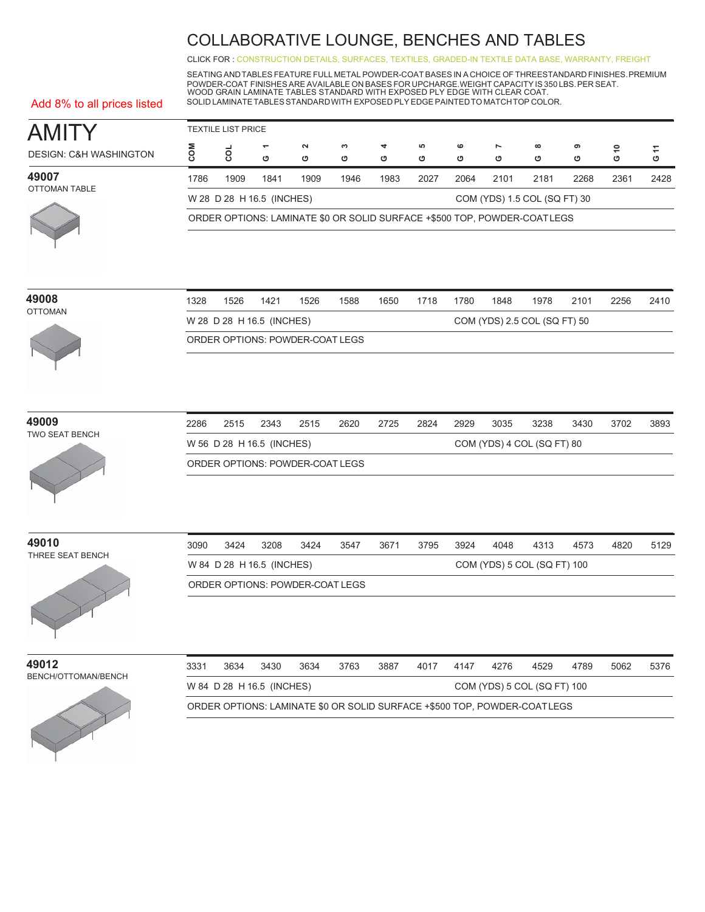CLICK FOR [: CONSTRUCTION DETAILS,](http://www.ekocontract.com/collaborative-seating/amity-collaborative) [SURFACES,](http://www.ekocontract.com/surfaces) [TEXTILES,](http://www.ekocontract.com/fabrics) [GRADED-IN TEXTILE DATA BASE,](http://www.ekocontract.com/resources/surface-materials/surface-materials-database) [WARRANTY, FREIGHT](http://www.ekocontract.com/files/resources/2015_EKO_Terms__Conditions.pdf)

SEATING ANDTABLES FEATURE FULL METAL POWDER-COAT BASES IN A CHOICE OF THREESTANDARD FINISHES.PREMIUM POWDER-COAT FINISHES ARE AVAILABLE ON BASES FOR UPCHARGE.WEIGHT CAPACITY IS 350 LBS.PER SEAT. WOOD GRAIN LAMINATE TABLES STANDARD WITH EXPOSED PLY EDGE WITH CLEAR COAT. SOLID LAMINATETABLESSTANDARDWITH EXPOSED PLY EDGE PAINTEDTO MATCHTOP COLOR.

#### Add 8% to all prices listed

| <b>AMITY</b>                      |                                                           | <b>TEXTILE LIST PRICE</b> |                           |                                 |        |        |         |                                                        |        |                                                                          |        |               |      |
|-----------------------------------|-----------------------------------------------------------|---------------------------|---------------------------|---------------------------------|--------|--------|---------|--------------------------------------------------------|--------|--------------------------------------------------------------------------|--------|---------------|------|
| <b>DESIGN: C&amp;H WASHINGTON</b> | COM                                                       | g                         | ٣<br>O                    | $\boldsymbol{\sim}$<br>O        | S<br>O | 4<br>O | LO<br>O | $\mathbf  \, \mathbf  \, \mathbf  \, \mathbf  \,$<br>O | r<br>O | $\infty$<br>O                                                            | ၜ<br>O | $\frac{8}{9}$ | G 11 |
| 49007                             | 1786                                                      | 1909                      | 1841                      | 1909                            | 1946   | 1983   | 2027    | 2064                                                   | 2101   | 2181                                                                     | 2268   | 2361          | 2428 |
| <b>OTTOMAN TABLE</b>              |                                                           |                           | W 28 D 28 H 16.5 (INCHES) |                                 |        |        |         |                                                        |        | COM (YDS) 1.5 COL (SQ FT) 30                                             |        |               |      |
|                                   |                                                           |                           |                           |                                 |        |        |         |                                                        |        | ORDER OPTIONS: LAMINATE \$0 OR SOLID SURFACE +\$500 TOP, POWDER-COATLEGS |        |               |      |
|                                   |                                                           |                           |                           |                                 |        |        |         |                                                        |        |                                                                          |        |               |      |
| 49008<br><b>OTTOMAN</b>           | 1328                                                      | 1526                      | 1421                      | 1526                            | 1588   | 1650   | 1718    | 1780                                                   | 1848   | 1978                                                                     | 2101   | 2256          | 2410 |
|                                   | W 28 D 28 H 16.5 (INCHES)<br>COM (YDS) 2.5 COL (SQ FT) 50 |                           |                           |                                 |        |        |         |                                                        |        |                                                                          |        |               |      |
|                                   |                                                           |                           |                           | ORDER OPTIONS: POWDER-COAT LEGS |        |        |         |                                                        |        |                                                                          |        |               |      |
|                                   |                                                           |                           |                           |                                 |        |        |         |                                                        |        |                                                                          |        |               |      |
| 49009<br>TWO SEAT BENCH           | 2286                                                      | 2515                      | 2343                      | 2515                            | 2620   | 2725   | 2824    | 2929                                                   | 3035   | 3238                                                                     | 3430   | 3702          | 3893 |
|                                   | W 56 D 28 H 16.5 (INCHES)<br>COM (YDS) 4 COL (SQ FT) 80   |                           |                           |                                 |        |        |         |                                                        |        |                                                                          |        |               |      |
|                                   | ORDER OPTIONS: POWDER-COAT LEGS                           |                           |                           |                                 |        |        |         |                                                        |        |                                                                          |        |               |      |
|                                   |                                                           |                           |                           |                                 |        |        |         |                                                        |        |                                                                          |        |               |      |
| 49010                             | 3090                                                      | 3424                      | 3208                      | 3424                            | 3547   | 3671   | 3795    | 3924                                                   | 4048   | 4313                                                                     | 4573   | 4820          | 5129 |
| THREE SEAT BENCH                  |                                                           |                           | W 84 D 28 H 16.5 (INCHES) |                                 |        |        |         |                                                        |        | COM (YDS) 5 COL (SQ FT) 100                                              |        |               |      |
|                                   |                                                           |                           |                           | ORDER OPTIONS: POWDER-COAT LEGS |        |        |         |                                                        |        |                                                                          |        |               |      |
|                                   |                                                           |                           |                           |                                 |        |        |         |                                                        |        |                                                                          |        |               |      |
| 49012                             | 3331                                                      | 3634                      | 3430                      | 3634                            | 3763   | 3887   | 4017    | 4147                                                   | 4276   | 4529                                                                     | 4789   | 5062          | 5376 |
| BENCH/OTTOMAN/BENCH               |                                                           |                           | W 84 D 28 H 16.5 (INCHES) |                                 |        |        |         |                                                        |        | COM (YDS) 5 COL (SQ FT) 100                                              |        |               |      |
|                                   |                                                           |                           |                           |                                 |        |        |         |                                                        |        | ORDER OPTIONS: LAMINATE \$0 OR SOLID SURFACE +\$500 TOP, POWDER-COATLEGS |        |               |      |

| 49008<br><b>OTTOMAN</b> | 328<br>1526<br>1650<br>1848<br>1526<br>1421<br>1588<br>1718<br>1780<br>1978<br>2256<br>2101 |                                                           |  |  |  |  |  |  |  |  | 2410 |  |  |
|-------------------------|---------------------------------------------------------------------------------------------|-----------------------------------------------------------|--|--|--|--|--|--|--|--|------|--|--|
|                         |                                                                                             | COM (YDS) 2.5 COL (SQ FT) 50<br>W 28 D 28 H 16.5 (INCHES) |  |  |  |  |  |  |  |  |      |  |  |
|                         |                                                                                             | ORDER OPTIONS: POWDER-COAT LEGS                           |  |  |  |  |  |  |  |  |      |  |  |
|                         |                                                                                             |                                                           |  |  |  |  |  |  |  |  |      |  |  |



| 2286 | 2515                                                    | 2343 | 2515 | 2620                            | 2725 | 2824 | 2929 | 3035 | 3238 | 3430 | 3702 | 3893 |
|------|---------------------------------------------------------|------|------|---------------------------------|------|------|------|------|------|------|------|------|
|      | W 56 D 28 H 16.5 (INCHES)<br>COM (YDS) 4 COL (SQ FT) 80 |      |      |                                 |      |      |      |      |      |      |      |      |
|      |                                                         |      |      | ORDER OPTIONS: POWDER-COAT LEGS |      |      |      |      |      |      |      |      |



| 3090                                                     | 3424 | 3208 | 3424 | 3547 | 3671 | 3795 | 3924 | 4048 | 4313 | 4573 | 4820 | 5129 |
|----------------------------------------------------------|------|------|------|------|------|------|------|------|------|------|------|------|
| W 84 D 28 H 16.5 (INCHES)<br>COM (YDS) 5 COL (SQ FT) 100 |      |      |      |      |      |      |      |      |      |      |      |      |
| ORDER OPTIONS: POWDER-COAT LEGS                          |      |      |      |      |      |      |      |      |      |      |      |      |

| 3331 | 3634 | 3430                      | 3634 | 3763 | 3887 | 4017 | 4147 | 4276. | 4529                                                                     | 4789 | 5062 | 5376 |
|------|------|---------------------------|------|------|------|------|------|-------|--------------------------------------------------------------------------|------|------|------|
|      |      | W 84 D 28 H 16.5 (INCHES) |      |      |      |      |      |       | COM (YDS) 5 COL (SQ FT) 100                                              |      |      |      |
|      |      |                           |      |      |      |      |      |       | ORDER OPTIONS: LAMINATE \$0 OR SOLID SURFACE +\$500 TOP, POWDER-COATLEGS |      |      |      |